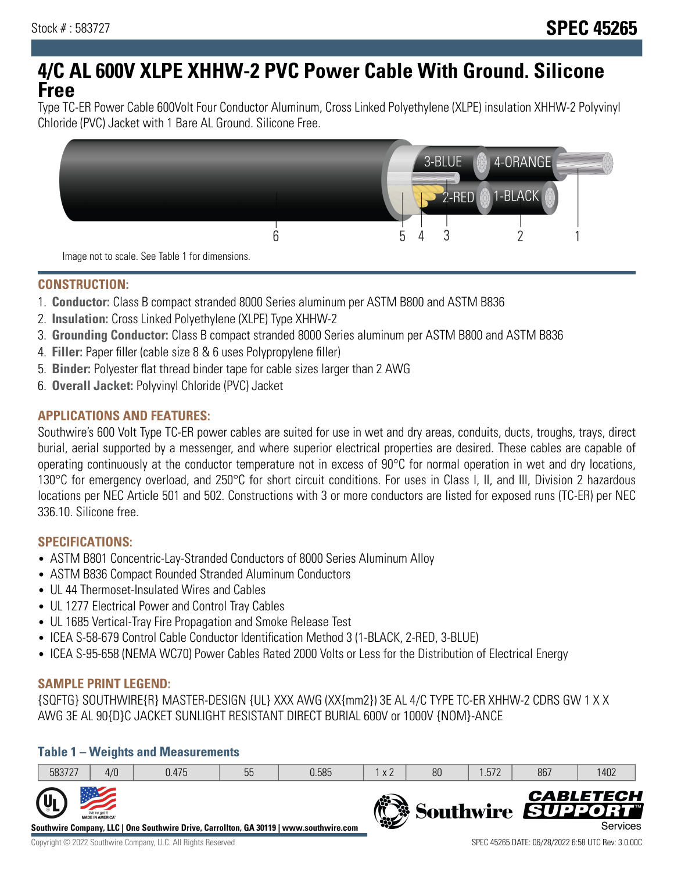# **4/C AL 600V XLPE XHHW-2 PVC Power Cable With Ground. Silicone Free**

Type TC-ER Power Cable 600Volt Four Conductor Aluminum, Cross Linked Polyethylene (XLPE) insulation XHHW-2 Polyvinyl Chloride (PVC) Jacket with 1 Bare AL Ground. Silicone Free.



**CONSTRUCTION:**

- 1. **Conductor:** Class B compact stranded 8000 Series aluminum per ASTM B800 and ASTM B836
- 2. **Insulation:** Cross Linked Polyethylene (XLPE) Type XHHW-2
- 3. **Grounding Conductor:** Class B compact stranded 8000 Series aluminum per ASTM B800 and ASTM B836
- 4. **Filler:** Paper filler (cable size 8 & 6 uses Polypropylene filler)
- 5. **Binder:** Polyester flat thread binder tape for cable sizes larger than 2 AWG
- 6. **Overall Jacket:** Polyvinyl Chloride (PVC) Jacket

## **APPLICATIONS AND FEATURES:**

Southwire's 600 Volt Type TC-ER power cables are suited for use in wet and dry areas, conduits, ducts, troughs, trays, direct burial, aerial supported by a messenger, and where superior electrical properties are desired. These cables are capable of operating continuously at the conductor temperature not in excess of 90°C for normal operation in wet and dry locations, 130°C for emergency overload, and 250°C for short circuit conditions. For uses in Class I, II, and III, Division 2 hazardous locations per NEC Article 501 and 502. Constructions with 3 or more conductors are listed for exposed runs (TC-ER) per NEC 336.10. Silicone free.

### **SPECIFICATIONS:**

- ASTM B801 Concentric-Lay-Stranded Conductors of 8000 Series Aluminum Alloy
- ASTM B836 Compact Rounded Stranded Aluminum Conductors
- UL 44 Thermoset-Insulated Wires and Cables
- UL 1277 Electrical Power and Control Tray Cables
- UL 1685 Vertical-Tray Fire Propagation and Smoke Release Test
- ICEA S-58-679 Control Cable Conductor Identification Method 3 (1-BLACK, 2-RED, 3-BLUE)
- ICEA S-95-658 (NEMA WC70) Power Cables Rated 2000 Volts or Less for the Distribution of Electrical Energy

### **SAMPLE PRINT LEGEND:**

{SQFTG} SOUTHWIRE{R} MASTER-DESIGN {UL} XXX AWG (XX{mm2}) 3E AL 4/C TYPE TC-ER XHHW-2 CDRS GW 1 X X AWG 3E AL 90{D}C JACKET SUNLIGHT RESISTANT DIRECT BURIAL 600V or 1000V {NOM}-ANCE

### **Table 1 – Weights and Measurements**

| 583727                    | 4/0                                     | 0.475                                                                                  | 55 | 0.585 | x 2           | 80 | .572 | 867 | 1402                                              |
|---------------------------|-----------------------------------------|----------------------------------------------------------------------------------------|----|-------|---------------|----|------|-----|---------------------------------------------------|
| $\mathbf{u}_{\mathsf{L}}$ | We've got it<br><b>MADE IN AMERICA®</b> | Southwire Company, LLC   One Southwire Drive, Carrollton, GA 30119   www.southwire.com |    |       | $\frac{1}{2}$ |    |      |     | <b>CABLETECH</b><br>Southwire SUPPORT<br>Services |